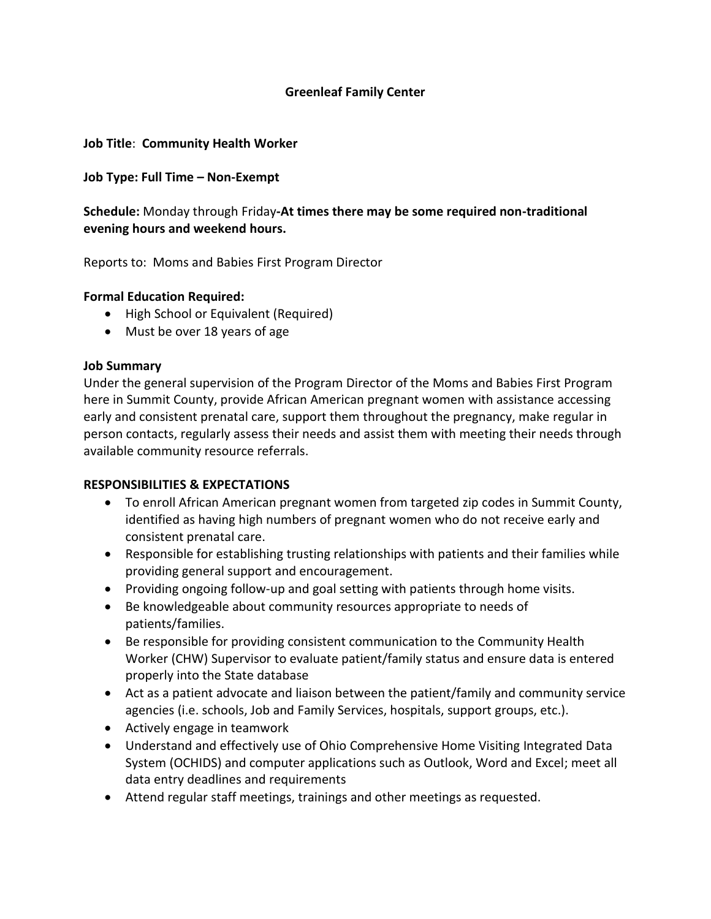## **Greenleaf Family Center**

### **Job Title**: **Community Health Worker**

#### **Job Type: Full Time – Non-Exempt**

**Schedule:** Monday through Friday**-At times there may be some required non-traditional evening hours and weekend hours.**

Reports to: Moms and Babies First Program Director

#### **Formal Education Required:**

- High School or Equivalent (Required)
- Must be over 18 years of age

#### **Job Summary**

Under the general supervision of the Program Director of the Moms and Babies First Program here in Summit County, provide African American pregnant women with assistance accessing early and consistent prenatal care, support them throughout the pregnancy, make regular in person contacts, regularly assess their needs and assist them with meeting their needs through available community resource referrals.

### **RESPONSIBILITIES & EXPECTATIONS**

- To enroll African American pregnant women from targeted zip codes in Summit County, identified as having high numbers of pregnant women who do not receive early and consistent prenatal care.
- Responsible for establishing trusting relationships with patients and their families while providing general support and encouragement.
- Providing ongoing follow-up and goal setting with patients through home visits.
- Be knowledgeable about community resources appropriate to needs of patients/families.
- Be responsible for providing consistent communication to the Community Health Worker (CHW) Supervisor to evaluate patient/family status and ensure data is entered properly into the State database
- Act as a patient advocate and liaison between the patient/family and community service agencies (i.e. schools, Job and Family Services, hospitals, support groups, etc.).
- Actively engage in teamwork
- Understand and effectively use of Ohio Comprehensive Home Visiting Integrated Data System (OCHIDS) and computer applications such as Outlook, Word and Excel; meet all data entry deadlines and requirements
- Attend regular staff meetings, trainings and other meetings as requested.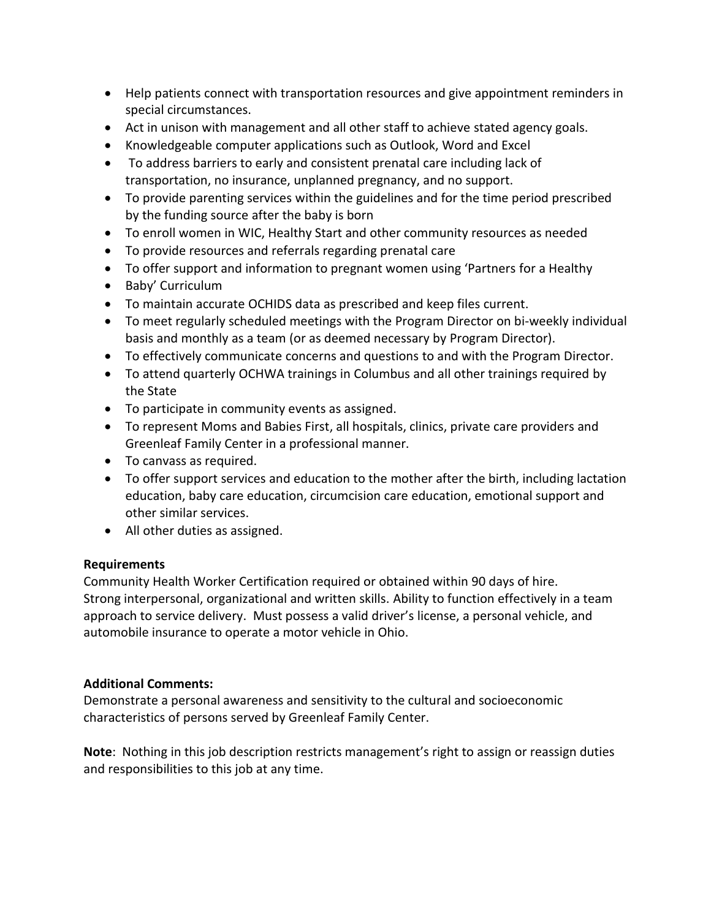- Help patients connect with transportation resources and give appointment reminders in special circumstances.
- Act in unison with management and all other staff to achieve stated agency goals.
- Knowledgeable computer applications such as Outlook, Word and Excel
- To address barriers to early and consistent prenatal care including lack of transportation, no insurance, unplanned pregnancy, and no support.
- To provide parenting services within the guidelines and for the time period prescribed by the funding source after the baby is born
- To enroll women in WIC, Healthy Start and other community resources as needed
- To provide resources and referrals regarding prenatal care
- To offer support and information to pregnant women using 'Partners for a Healthy
- Baby' Curriculum
- To maintain accurate OCHIDS data as prescribed and keep files current.
- To meet regularly scheduled meetings with the Program Director on bi-weekly individual basis and monthly as a team (or as deemed necessary by Program Director).
- To effectively communicate concerns and questions to and with the Program Director.
- To attend quarterly OCHWA trainings in Columbus and all other trainings required by the State
- To participate in community events as assigned.
- To represent Moms and Babies First, all hospitals, clinics, private care providers and Greenleaf Family Center in a professional manner.
- To canvass as required.
- To offer support services and education to the mother after the birth, including lactation education, baby care education, circumcision care education, emotional support and other similar services.
- All other duties as assigned.

# **Requirements**

Community Health Worker Certification required or obtained within 90 days of hire. Strong interpersonal, organizational and written skills. Ability to function effectively in a team approach to service delivery. Must possess a valid driver's license, a personal vehicle, and automobile insurance to operate a motor vehicle in Ohio.

# **Additional Comments:**

Demonstrate a personal awareness and sensitivity to the cultural and socioeconomic characteristics of persons served by Greenleaf Family Center.

**Note**: Nothing in this job description restricts management's right to assign or reassign duties and responsibilities to this job at any time.